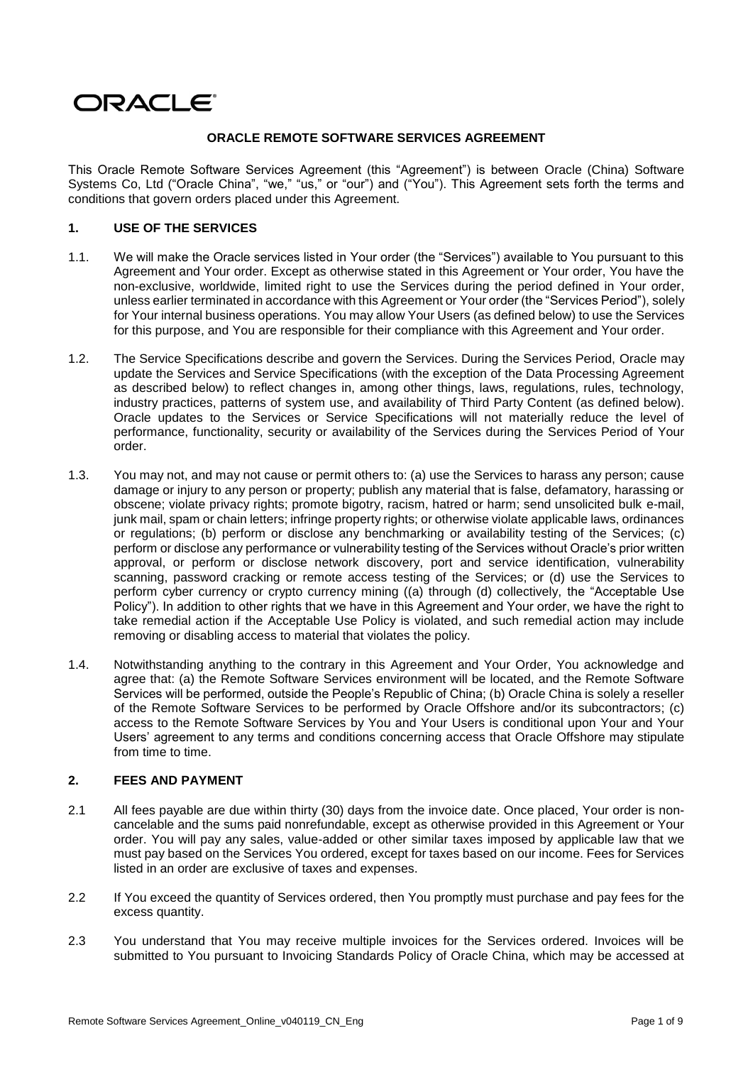# ORACLE®

# **ORACLE REMOTE SOFTWARE SERVICES AGREEMENT**

This Oracle Remote Software Services Agreement (this "Agreement") is between Oracle (China) Software Systems Co, Ltd ("Oracle China", "we," "us," or "our") and ("You"). This Agreement sets forth the terms and conditions that govern orders placed under this Agreement.

## **1. USE OF THE SERVICES**

- 1.1. We will make the Oracle services listed in Your order (the "Services") available to You pursuant to this Agreement and Your order. Except as otherwise stated in this Agreement or Your order, You have the non-exclusive, worldwide, limited right to use the Services during the period defined in Your order, unless earlier terminated in accordance with this Agreement or Your order (the "Services Period"), solely for Your internal business operations. You may allow Your Users (as defined below) to use the Services for this purpose, and You are responsible for their compliance with this Agreement and Your order.
- 1.2. The Service Specifications describe and govern the Services. During the Services Period, Oracle may update the Services and Service Specifications (with the exception of the Data Processing Agreement as described below) to reflect changes in, among other things, laws, regulations, rules, technology, industry practices, patterns of system use, and availability of Third Party Content (as defined below). Oracle updates to the Services or Service Specifications will not materially reduce the level of performance, functionality, security or availability of the Services during the Services Period of Your order.
- 1.3. You may not, and may not cause or permit others to: (a) use the Services to harass any person; cause damage or injury to any person or property; publish any material that is false, defamatory, harassing or obscene; violate privacy rights; promote bigotry, racism, hatred or harm; send unsolicited bulk e-mail, junk mail, spam or chain letters; infringe property rights; or otherwise violate applicable laws, ordinances or regulations; (b) perform or disclose any benchmarking or availability testing of the Services; (c) perform or disclose any performance or vulnerability testing of the Services without Oracle's prior written approval, or perform or disclose network discovery, port and service identification, vulnerability scanning, password cracking or remote access testing of the Services; or (d) use the Services to perform cyber currency or crypto currency mining ((a) through (d) collectively, the "Acceptable Use Policy"). In addition to other rights that we have in this Agreement and Your order, we have the right to take remedial action if the Acceptable Use Policy is violated, and such remedial action may include removing or disabling access to material that violates the policy.
- 1.4. Notwithstanding anything to the contrary in this Agreement and Your Order, You acknowledge and agree that: (a) the Remote Software Services environment will be located, and the Remote Software Services will be performed, outside the People's Republic of China; (b) Oracle China is solely a reseller of the Remote Software Services to be performed by Oracle Offshore and/or its subcontractors; (c) access to the Remote Software Services by You and Your Users is conditional upon Your and Your Users' agreement to any terms and conditions concerning access that Oracle Offshore may stipulate from time to time.

# **2. FEES AND PAYMENT**

- 2.1 All fees payable are due within thirty (30) days from the invoice date. Once placed, Your order is noncancelable and the sums paid nonrefundable, except as otherwise provided in this Agreement or Your order. You will pay any sales, value-added or other similar taxes imposed by applicable law that we must pay based on the Services You ordered, except for taxes based on our income. Fees for Services listed in an order are exclusive of taxes and expenses.
- 2.2 If You exceed the quantity of Services ordered, then You promptly must purchase and pay fees for the excess quantity.
- 2.3 You understand that You may receive multiple invoices for the Services ordered. Invoices will be submitted to You pursuant to Invoicing Standards Policy of Oracle China, which may be accessed at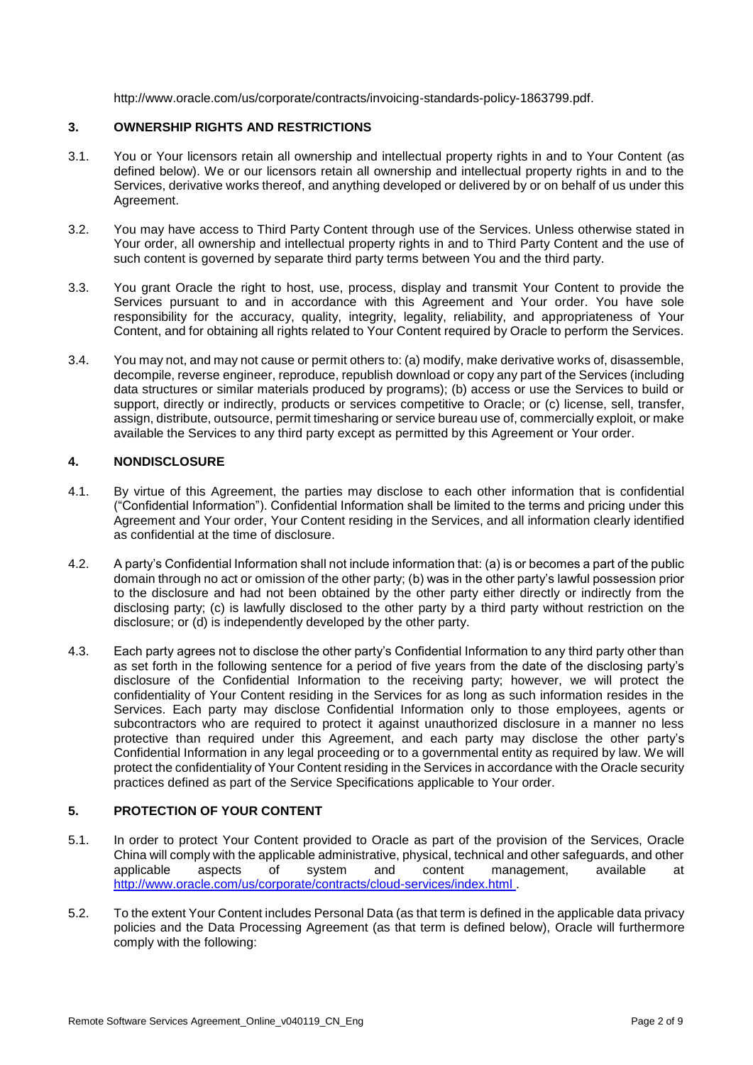[http://www.oracle.com/us/corporate/contracts/invoicing-standards-policy-1863799.pdf.](http://www.oracle.com/us/corporate/contracts/invoicing-standards-policy-1863799.pdf)

## **3. OWNERSHIP RIGHTS AND RESTRICTIONS**

- 3.1. You or Your licensors retain all ownership and intellectual property rights in and to Your Content (as defined below). We or our licensors retain all ownership and intellectual property rights in and to the Services, derivative works thereof, and anything developed or delivered by or on behalf of us under this Agreement.
- 3.2. You may have access to Third Party Content through use of the Services. Unless otherwise stated in Your order, all ownership and intellectual property rights in and to Third Party Content and the use of such content is governed by separate third party terms between You and the third party.
- 3.3. You grant Oracle the right to host, use, process, display and transmit Your Content to provide the Services pursuant to and in accordance with this Agreement and Your order. You have sole responsibility for the accuracy, quality, integrity, legality, reliability, and appropriateness of Your Content, and for obtaining all rights related to Your Content required by Oracle to perform the Services.
- 3.4. You may not, and may not cause or permit others to: (a) modify, make derivative works of, disassemble, decompile, reverse engineer, reproduce, republish download or copy any part of the Services (including data structures or similar materials produced by programs); (b) access or use the Services to build or support, directly or indirectly, products or services competitive to Oracle; or (c) license, sell, transfer, assign, distribute, outsource, permit timesharing or service bureau use of, commercially exploit, or make available the Services to any third party except as permitted by this Agreement or Your order.

# **4. NONDISCLOSURE**

- 4.1. By virtue of this Agreement, the parties may disclose to each other information that is confidential ("Confidential Information"). Confidential Information shall be limited to the terms and pricing under this Agreement and Your order, Your Content residing in the Services, and all information clearly identified as confidential at the time of disclosure.
- 4.2. A party's Confidential Information shall not include information that: (a) is or becomes a part of the public domain through no act or omission of the other party; (b) was in the other party's lawful possession prior to the disclosure and had not been obtained by the other party either directly or indirectly from the disclosing party; (c) is lawfully disclosed to the other party by a third party without restriction on the disclosure; or (d) is independently developed by the other party.
- 4.3. Each party agrees not to disclose the other party's Confidential Information to any third party other than as set forth in the following sentence for a period of five years from the date of the disclosing party's disclosure of the Confidential Information to the receiving party; however, we will protect the confidentiality of Your Content residing in the Services for as long as such information resides in the Services. Each party may disclose Confidential Information only to those employees, agents or subcontractors who are required to protect it against unauthorized disclosure in a manner no less protective than required under this Agreement, and each party may disclose the other party's Confidential Information in any legal proceeding or to a governmental entity as required by law. We will protect the confidentiality of Your Content residing in the Services in accordance with the Oracle security practices defined as part of the Service Specifications applicable to Your order.

# **5. PROTECTION OF YOUR CONTENT**

- 5.1. In order to protect Your Content provided to Oracle as part of the provision of the Services, Oracle China will comply with the applicable administrative, physical, technical and other safeguards, and other applicable aspects of system and content management, available at <http://www.oracle.com/us/corporate/contracts/cloud-services/index.html>
- 5.2. To the extent Your Content includes Personal Data (as that term is defined in the applicable data privacy policies and the Data Processing Agreement (as that term is defined below), Oracle will furthermore comply with the following: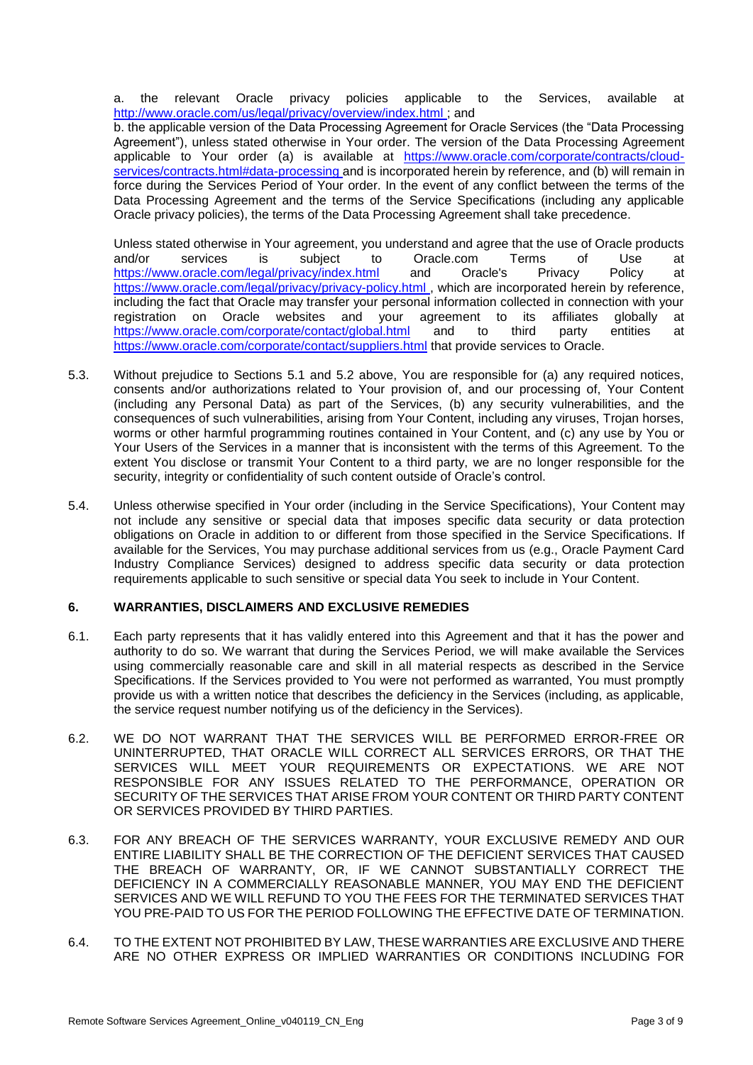a. the relevant Oracle privacy policies applicable to the Services, available at <http://www.oracle.com/us/legal/privacy/overview/index.html> ; and

b. the applicable version of the Data Processing Agreement for Oracle Services (the "Data Processing Agreement"), unless stated otherwise in Your order. The version of the Data Processing Agreement applicable to Your order (a) is available at [https://www.oracle.com/corporate/contracts/cloud](https://www.oracle.com/corporate/contracts/cloud-services/contracts.html#data-processing)[services/contracts.html#data-processing](https://www.oracle.com/corporate/contracts/cloud-services/contracts.html#data-processing) and is incorporated herein by reference, and (b) will remain in force during the Services Period of Your order. In the event of any conflict between the terms of the Data Processing Agreement and the terms of the Service Specifications (including any applicable Oracle privacy policies), the terms of the Data Processing Agreement shall take precedence.

Unless stated otherwise in Your agreement, you understand and agree that the use of Oracle products and/or services is subject to Oracle.com Terms of Use at <https://www.oracle.com/legal/privacy/index.html> and Oracle's Privacy Policy at <https://www.oracle.com/legal/privacy/privacy-policy.html> , which are incorporated herein by reference, including the fact that Oracle may transfer your personal information collected in connection with your registration on Oracle websites and your agreement to its affiliates globally at <https://www.oracle.com/corporate/contact/global.html> and to third party entities at <https://www.oracle.com/corporate/contact/suppliers.html> that provide services to Oracle.

- 5.3. Without prejudice to Sections 5.1 and 5.2 above, You are responsible for (a) any required notices, consents and/or authorizations related to Your provision of, and our processing of, Your Content (including any Personal Data) as part of the Services, (b) any security vulnerabilities, and the consequences of such vulnerabilities, arising from Your Content, including any viruses, Trojan horses, worms or other harmful programming routines contained in Your Content, and (c) any use by You or Your Users of the Services in a manner that is inconsistent with the terms of this Agreement. To the extent You disclose or transmit Your Content to a third party, we are no longer responsible for the security, integrity or confidentiality of such content outside of Oracle's control.
- 5.4. Unless otherwise specified in Your order (including in the Service Specifications), Your Content may not include any sensitive or special data that imposes specific data security or data protection obligations on Oracle in addition to or different from those specified in the Service Specifications. If available for the Services, You may purchase additional services from us (e.g., Oracle Payment Card Industry Compliance Services) designed to address specific data security or data protection requirements applicable to such sensitive or special data You seek to include in Your Content.

#### **6. WARRANTIES, DISCLAIMERS AND EXCLUSIVE REMEDIES**

- 6.1. Each party represents that it has validly entered into this Agreement and that it has the power and authority to do so. We warrant that during the Services Period, we will make available the Services using commercially reasonable care and skill in all material respects as described in the Service Specifications. If the Services provided to You were not performed as warranted, You must promptly provide us with a written notice that describes the deficiency in the Services (including, as applicable, the service request number notifying us of the deficiency in the Services).
- 6.2. WE DO NOT WARRANT THAT THE SERVICES WILL BE PERFORMED ERROR-FREE OR UNINTERRUPTED, THAT ORACLE WILL CORRECT ALL SERVICES ERRORS, OR THAT THE SERVICES WILL MEET YOUR REQUIREMENTS OR EXPECTATIONS. WE ARE NOT RESPONSIBLE FOR ANY ISSUES RELATED TO THE PERFORMANCE, OPERATION OR SECURITY OF THE SERVICES THAT ARISE FROM YOUR CONTENT OR THIRD PARTY CONTENT OR SERVICES PROVIDED BY THIRD PARTIES.
- 6.3. FOR ANY BREACH OF THE SERVICES WARRANTY, YOUR EXCLUSIVE REMEDY AND OUR ENTIRE LIABILITY SHALL BE THE CORRECTION OF THE DEFICIENT SERVICES THAT CAUSED THE BREACH OF WARRANTY, OR, IF WE CANNOT SUBSTANTIALLY CORRECT THE DEFICIENCY IN A COMMERCIALLY REASONABLE MANNER, YOU MAY END THE DEFICIENT SERVICES AND WE WILL REFUND TO YOU THE FEES FOR THE TERMINATED SERVICES THAT YOU PRE-PAID TO US FOR THE PERIOD FOLLOWING THE EFFECTIVE DATE OF TERMINATION.
- 6.4. TO THE EXTENT NOT PROHIBITED BY LAW, THESE WARRANTIES ARE EXCLUSIVE AND THERE ARE NO OTHER EXPRESS OR IMPLIED WARRANTIES OR CONDITIONS INCLUDING FOR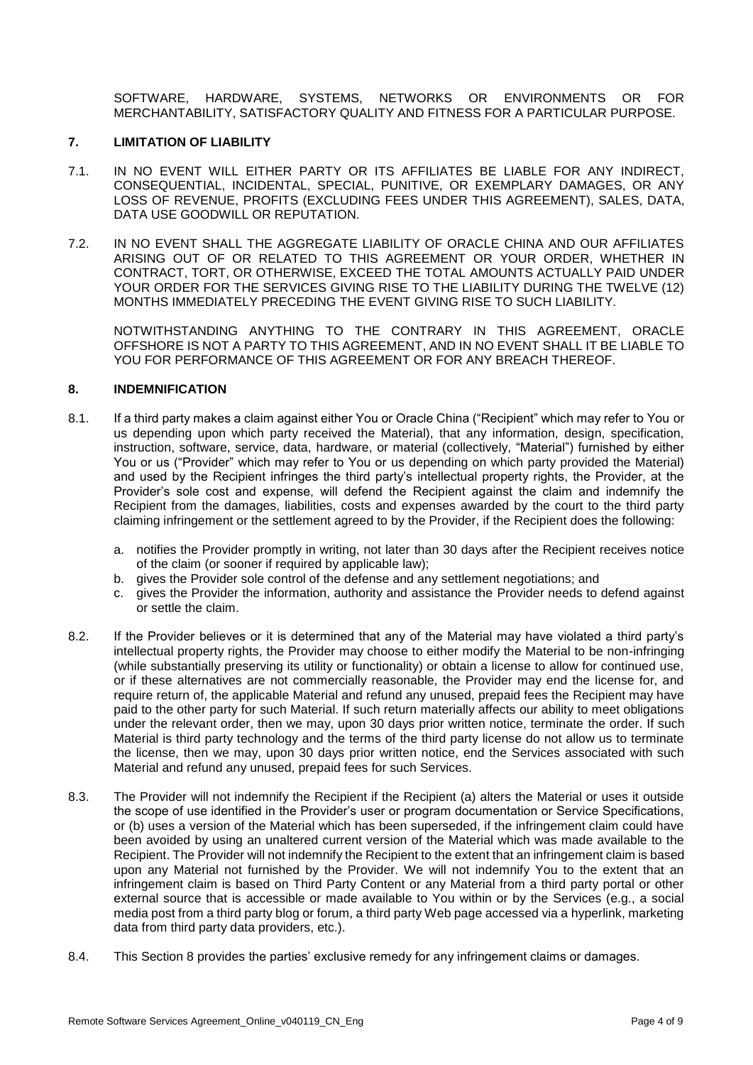SOFTWARE, HARDWARE, SYSTEMS, NETWORKS OR ENVIRONMENTS OR FOR MERCHANTABILITY, SATISFACTORY QUALITY AND FITNESS FOR A PARTICULAR PURPOSE.

#### **7. LIMITATION OF LIABILITY**

- 7.1. IN NO EVENT WILL EITHER PARTY OR ITS AFFILIATES BE LIABLE FOR ANY INDIRECT, CONSEQUENTIAL, INCIDENTAL, SPECIAL, PUNITIVE, OR EXEMPLARY DAMAGES, OR ANY LOSS OF REVENUE, PROFITS (EXCLUDING FEES UNDER THIS AGREEMENT), SALES, DATA, DATA USE GOODWILL OR REPUTATION.
- 7.2. IN NO EVENT SHALL THE AGGREGATE LIABILITY OF ORACLE CHINA AND OUR AFFILIATES ARISING OUT OF OR RELATED TO THIS AGREEMENT OR YOUR ORDER, WHETHER IN CONTRACT, TORT, OR OTHERWISE, EXCEED THE TOTAL AMOUNTS ACTUALLY PAID UNDER YOUR ORDER FOR THE SERVICES GIVING RISE TO THE LIABILITY DURING THE TWELVE (12) MONTHS IMMEDIATELY PRECEDING THE EVENT GIVING RISE TO SUCH LIABILITY.

NOTWITHSTANDING ANYTHING TO THE CONTRARY IN THIS AGREEMENT, ORACLE OFFSHORE IS NOT A PARTY TO THIS AGREEMENT, AND IN NO EVENT SHALL IT BE LIABLE TO YOU FOR PERFORMANCE OF THIS AGREEMENT OR FOR ANY BREACH THEREOF.

# **8. INDEMNIFICATION**

- 8.1. If a third party makes a claim against either You or Oracle China ("Recipient" which may refer to You or us depending upon which party received the Material), that any information, design, specification, instruction, software, service, data, hardware, or material (collectively, "Material") furnished by either You or us ("Provider" which may refer to You or us depending on which party provided the Material) and used by the Recipient infringes the third party's intellectual property rights, the Provider, at the Provider's sole cost and expense, will defend the Recipient against the claim and indemnify the Recipient from the damages, liabilities, costs and expenses awarded by the court to the third party claiming infringement or the settlement agreed to by the Provider, if the Recipient does the following:
	- a. notifies the Provider promptly in writing, not later than 30 days after the Recipient receives notice of the claim (or sooner if required by applicable law);
	- b. gives the Provider sole control of the defense and any settlement negotiations; and
	- c. gives the Provider the information, authority and assistance the Provider needs to defend against or settle the claim.
- 8.2. If the Provider believes or it is determined that any of the Material may have violated a third party's intellectual property rights, the Provider may choose to either modify the Material to be non-infringing (while substantially preserving its utility or functionality) or obtain a license to allow for continued use, or if these alternatives are not commercially reasonable, the Provider may end the license for, and require return of, the applicable Material and refund any unused, prepaid fees the Recipient may have paid to the other party for such Material. If such return materially affects our ability to meet obligations under the relevant order, then we may, upon 30 days prior written notice, terminate the order. If such Material is third party technology and the terms of the third party license do not allow us to terminate the license, then we may, upon 30 days prior written notice, end the Services associated with such Material and refund any unused, prepaid fees for such Services.
- 8.3. The Provider will not indemnify the Recipient if the Recipient (a) alters the Material or uses it outside the scope of use identified in the Provider's user or program documentation or Service Specifications, or (b) uses a version of the Material which has been superseded, if the infringement claim could have been avoided by using an unaltered current version of the Material which was made available to the Recipient. The Provider will not indemnify the Recipient to the extent that an infringement claim is based upon any Material not furnished by the Provider. We will not indemnify You to the extent that an infringement claim is based on Third Party Content or any Material from a third party portal or other external source that is accessible or made available to You within or by the Services (e.g., a social media post from a third party blog or forum, a third party Web page accessed via a hyperlink, marketing data from third party data providers, etc.).
- 8.4. This Section 8 provides the parties' exclusive remedy for any infringement claims or damages.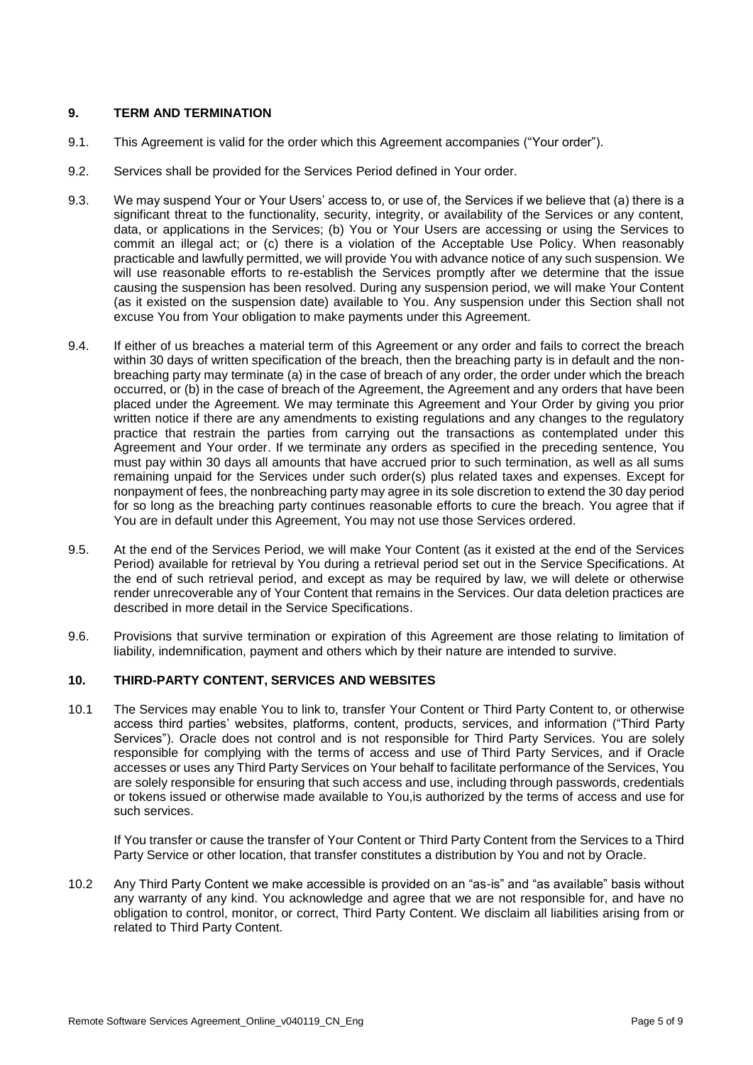## **9. TERM AND TERMINATION**

- 9.1. This Agreement is valid for the order which this Agreement accompanies ("Your order").
- 9.2. Services shall be provided for the Services Period defined in Your order.
- 9.3. We may suspend Your or Your Users' access to, or use of, the Services if we believe that (a) there is a significant threat to the functionality, security, integrity, or availability of the Services or any content, data, or applications in the Services; (b) You or Your Users are accessing or using the Services to commit an illegal act; or (c) there is a violation of the Acceptable Use Policy. When reasonably practicable and lawfully permitted, we will provide You with advance notice of any such suspension. We will use reasonable efforts to re-establish the Services promptly after we determine that the issue causing the suspension has been resolved. During any suspension period, we will make Your Content (as it existed on the suspension date) available to You. Any suspension under this Section shall not excuse You from Your obligation to make payments under this Agreement.
- 9.4. If either of us breaches a material term of this Agreement or any order and fails to correct the breach within 30 days of written specification of the breach, then the breaching party is in default and the nonbreaching party may terminate (a) in the case of breach of any order, the order under which the breach occurred, or (b) in the case of breach of the Agreement, the Agreement and any orders that have been placed under the Agreement. We may terminate this Agreement and Your Order by giving you prior written notice if there are any amendments to existing regulations and any changes to the regulatory practice that restrain the parties from carrying out the transactions as contemplated under this Agreement and Your order. If we terminate any orders as specified in the preceding sentence, You must pay within 30 days all amounts that have accrued prior to such termination, as well as all sums remaining unpaid for the Services under such order(s) plus related taxes and expenses. Except for nonpayment of fees, the nonbreaching party may agree in its sole discretion to extend the 30 day period for so long as the breaching party continues reasonable efforts to cure the breach. You agree that if You are in default under this Agreement, You may not use those Services ordered.
- 9.5. At the end of the Services Period, we will make Your Content (as it existed at the end of the Services Period) available for retrieval by You during a retrieval period set out in the Service Specifications. At the end of such retrieval period, and except as may be required by law, we will delete or otherwise render unrecoverable any of Your Content that remains in the Services. Our data deletion practices are described in more detail in the Service Specifications.
- 9.6. Provisions that survive termination or expiration of this Agreement are those relating to limitation of liability, indemnification, payment and others which by their nature are intended to survive.

# **10. THIRD-PARTY CONTENT, SERVICES AND WEBSITES**

10.1 The Services may enable You to link to, transfer Your Content or Third Party Content to, or otherwise access third parties' websites, platforms, content, products, services, and information ("Third Party Services"). Oracle does not control and is not responsible for Third Party Services. You are solely responsible for complying with the terms of access and use of Third Party Services, and if Oracle accesses or uses any Third Party Services on Your behalf to facilitate performance of the Services, You are solely responsible for ensuring that such access and use, including through passwords, credentials or tokens issued or otherwise made available to You,is authorized by the terms of access and use for such services.

If You transfer or cause the transfer of Your Content or Third Party Content from the Services to a Third Party Service or other location, that transfer constitutes a distribution by You and not by Oracle.

10.2 Any Third Party Content we make accessible is provided on an "as-is" and "as available" basis without any warranty of any kind. You acknowledge and agree that we are not responsible for, and have no obligation to control, monitor, or correct, Third Party Content. We disclaim all liabilities arising from or related to Third Party Content.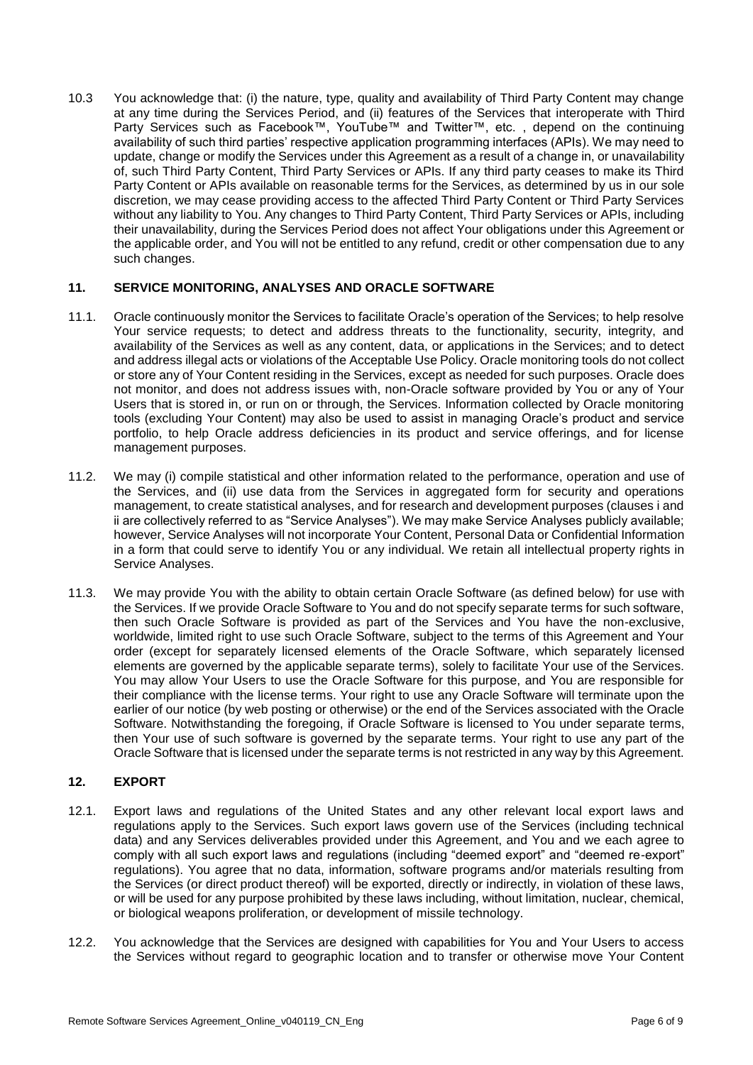10.3 You acknowledge that: (i) the nature, type, quality and availability of Third Party Content may change at any time during the Services Period, and (ii) features of the Services that interoperate with Third Party Services such as Facebook™, YouTube™ and Twitter™, etc. , depend on the continuing availability of such third parties' respective application programming interfaces (APIs). We may need to update, change or modify the Services under this Agreement as a result of a change in, or unavailability of, such Third Party Content, Third Party Services or APIs. If any third party ceases to make its Third Party Content or APIs available on reasonable terms for the Services, as determined by us in our sole discretion, we may cease providing access to the affected Third Party Content or Third Party Services without any liability to You. Any changes to Third Party Content, Third Party Services or APIs, including their unavailability, during the Services Period does not affect Your obligations under this Agreement or the applicable order, and You will not be entitled to any refund, credit or other compensation due to any such changes.

# **11. SERVICE MONITORING, ANALYSES AND ORACLE SOFTWARE**

- 11.1. Oracle continuously monitor the Services to facilitate Oracle's operation of the Services; to help resolve Your service requests; to detect and address threats to the functionality, security, integrity, and availability of the Services as well as any content, data, or applications in the Services; and to detect and address illegal acts or violations of the Acceptable Use Policy. Oracle monitoring tools do not collect or store any of Your Content residing in the Services, except as needed for such purposes. Oracle does not monitor, and does not address issues with, non-Oracle software provided by You or any of Your Users that is stored in, or run on or through, the Services. Information collected by Oracle monitoring tools (excluding Your Content) may also be used to assist in managing Oracle's product and service portfolio, to help Oracle address deficiencies in its product and service offerings, and for license management purposes.
- 11.2. We may (i) compile statistical and other information related to the performance, operation and use of the Services, and (ii) use data from the Services in aggregated form for security and operations management, to create statistical analyses, and for research and development purposes (clauses i and ii are collectively referred to as "Service Analyses"). We may make Service Analyses publicly available; however, Service Analyses will not incorporate Your Content, Personal Data or Confidential Information in a form that could serve to identify You or any individual. We retain all intellectual property rights in Service Analyses.
- 11.3. We may provide You with the ability to obtain certain Oracle Software (as defined below) for use with the Services. If we provide Oracle Software to You and do not specify separate terms for such software, then such Oracle Software is provided as part of the Services and You have the non-exclusive, worldwide, limited right to use such Oracle Software, subject to the terms of this Agreement and Your order (except for separately licensed elements of the Oracle Software, which separately licensed elements are governed by the applicable separate terms), solely to facilitate Your use of the Services. You may allow Your Users to use the Oracle Software for this purpose, and You are responsible for their compliance with the license terms. Your right to use any Oracle Software will terminate upon the earlier of our notice (by web posting or otherwise) or the end of the Services associated with the Oracle Software. Notwithstanding the foregoing, if Oracle Software is licensed to You under separate terms, then Your use of such software is governed by the separate terms. Your right to use any part of the Oracle Software that is licensed under the separate terms is not restricted in any way by this Agreement.

# **12. EXPORT**

- 12.1. Export laws and regulations of the United States and any other relevant local export laws and regulations apply to the Services. Such export laws govern use of the Services (including technical data) and any Services deliverables provided under this Agreement, and You and we each agree to comply with all such export laws and regulations (including "deemed export" and "deemed re-export" regulations). You agree that no data, information, software programs and/or materials resulting from the Services (or direct product thereof) will be exported, directly or indirectly, in violation of these laws, or will be used for any purpose prohibited by these laws including, without limitation, nuclear, chemical, or biological weapons proliferation, or development of missile technology.
- 12.2. You acknowledge that the Services are designed with capabilities for You and Your Users to access the Services without regard to geographic location and to transfer or otherwise move Your Content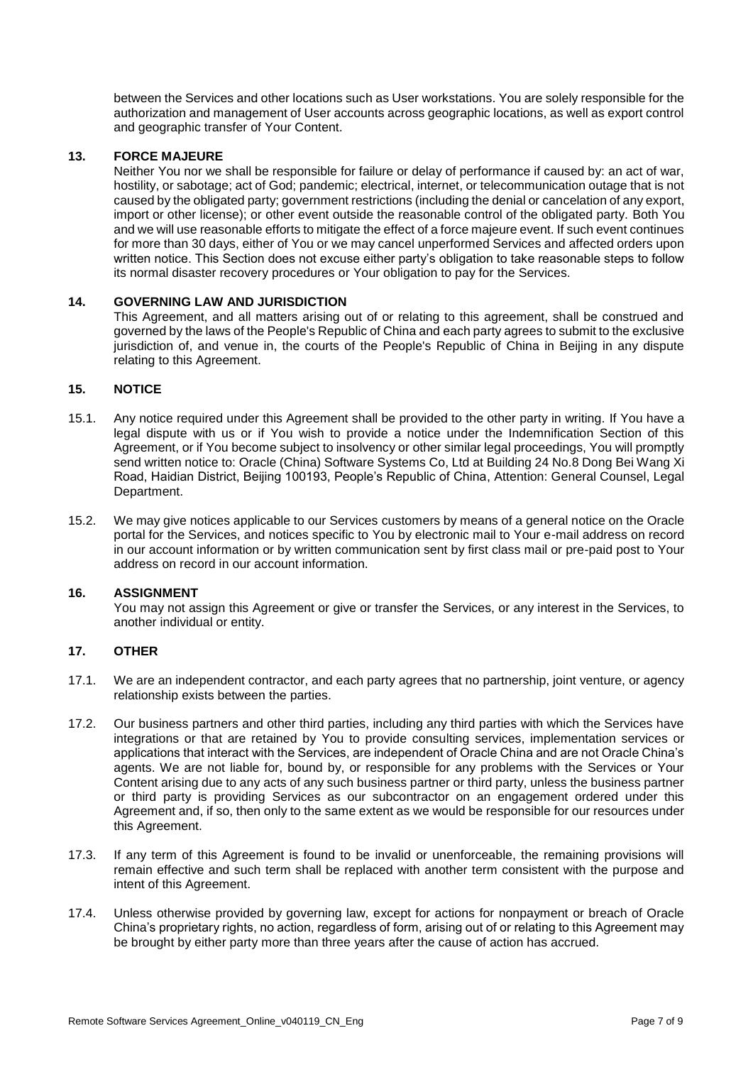between the Services and other locations such as User workstations. You are solely responsible for the authorization and management of User accounts across geographic locations, as well as export control and geographic transfer of Your Content.

### **13. FORCE MAJEURE**

Neither You nor we shall be responsible for failure or delay of performance if caused by: an act of war, hostility, or sabotage; act of God; pandemic; electrical, internet, or telecommunication outage that is not caused by the obligated party; government restrictions (including the denial or cancelation of any export, import or other license); or other event outside the reasonable control of the obligated party. Both You and we will use reasonable efforts to mitigate the effect of a force majeure event. If such event continues for more than 30 days, either of You or we may cancel unperformed Services and affected orders upon written notice. This Section does not excuse either party's obligation to take reasonable steps to follow its normal disaster recovery procedures or Your obligation to pay for the Services.

#### **14. GOVERNING LAW AND JURISDICTION**

This Agreement, and all matters arising out of or relating to this agreement, shall be construed and governed by the laws of the People's Republic of China and each party agrees to submit to the exclusive jurisdiction of, and venue in, the courts of the People's Republic of China in Beijing in any dispute relating to this Agreement.

### **15. NOTICE**

- 15.1. Any notice required under this Agreement shall be provided to the other party in writing. If You have a legal dispute with us or if You wish to provide a notice under the Indemnification Section of this Agreement, or if You become subject to insolvency or other similar legal proceedings, You will promptly send written notice to: Oracle (China) Software Systems Co, Ltd at Building 24 No.8 Dong Bei Wang Xi Road, Haidian District, Beijing 100193, People's Republic of China, Attention: General Counsel, Legal Department.
- 15.2. We may give notices applicable to our Services customers by means of a general notice on the Oracle portal for the Services, and notices specific to You by electronic mail to Your e-mail address on record in our account information or by written communication sent by first class mail or pre-paid post to Your address on record in our account information.

#### **16. ASSIGNMENT**

You may not assign this Agreement or give or transfer the Services, or any interest in the Services, to another individual or entity.

#### **17. OTHER**

- 17.1. We are an independent contractor, and each party agrees that no partnership, joint venture, or agency relationship exists between the parties.
- 17.2. Our business partners and other third parties, including any third parties with which the Services have integrations or that are retained by You to provide consulting services, implementation services or applications that interact with the Services, are independent of Oracle China and are not Oracle China's agents. We are not liable for, bound by, or responsible for any problems with the Services or Your Content arising due to any acts of any such business partner or third party, unless the business partner or third party is providing Services as our subcontractor on an engagement ordered under this Agreement and, if so, then only to the same extent as we would be responsible for our resources under this Agreement.
- 17.3. If any term of this Agreement is found to be invalid or unenforceable, the remaining provisions will remain effective and such term shall be replaced with another term consistent with the purpose and intent of this Agreement.
- 17.4. Unless otherwise provided by governing law, except for actions for nonpayment or breach of Oracle China's proprietary rights, no action, regardless of form, arising out of or relating to this Agreement may be brought by either party more than three years after the cause of action has accrued.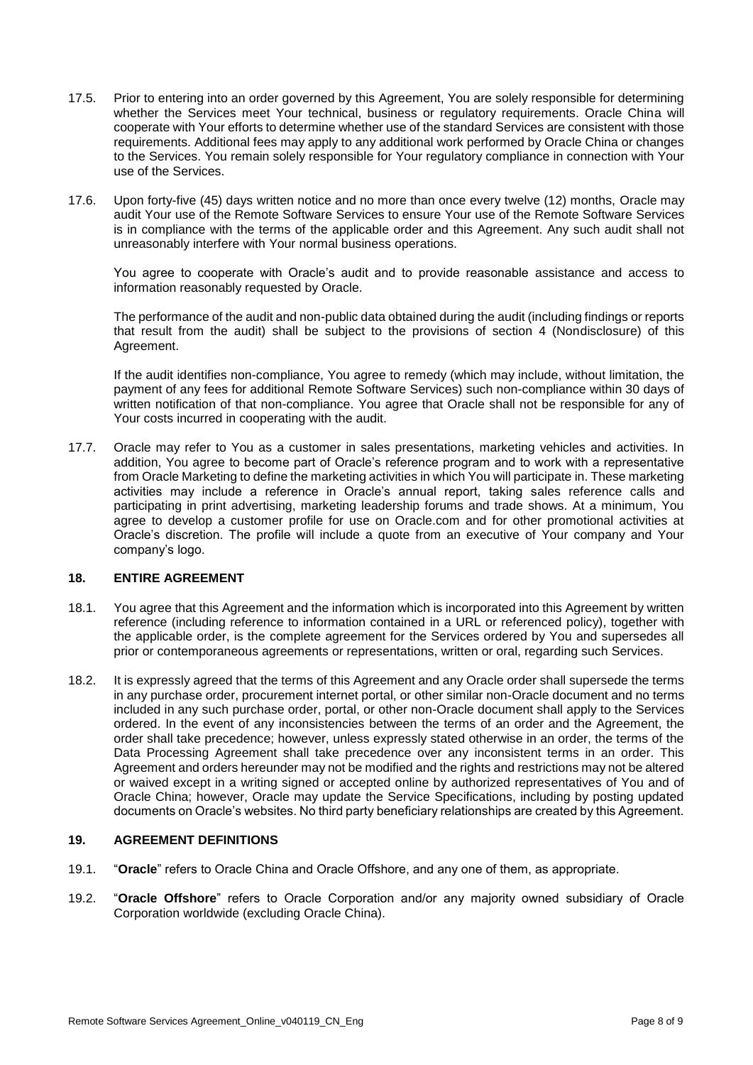- 17.5. Prior to entering into an order governed by this Agreement, You are solely responsible for determining whether the Services meet Your technical, business or regulatory requirements. Oracle China will cooperate with Your efforts to determine whether use of the standard Services are consistent with those requirements. Additional fees may apply to any additional work performed by Oracle China or changes to the Services. You remain solely responsible for Your regulatory compliance in connection with Your use of the Services.
- 17.6. Upon forty-five (45) days written notice and no more than once every twelve (12) months, Oracle may audit Your use of the Remote Software Services to ensure Your use of the Remote Software Services is in compliance with the terms of the applicable order and this Agreement. Any such audit shall not unreasonably interfere with Your normal business operations.

You agree to cooperate with Oracle's audit and to provide reasonable assistance and access to information reasonably requested by Oracle.

The performance of the audit and non-public data obtained during the audit (including findings or reports that result from the audit) shall be subject to the provisions of section 4 (Nondisclosure) of this Agreement.

If the audit identifies non-compliance, You agree to remedy (which may include, without limitation, the payment of any fees for additional Remote Software Services) such non-compliance within 30 days of written notification of that non-compliance. You agree that Oracle shall not be responsible for any of Your costs incurred in cooperating with the audit.

17.7. Oracle may refer to You as a customer in sales presentations, marketing vehicles and activities. In addition, You agree to become part of Oracle's reference program and to work with a representative from Oracle Marketing to define the marketing activities in which You will participate in. These marketing activities may include a reference in Oracle's annual report, taking sales reference calls and participating in print advertising, marketing leadership forums and trade shows. At a minimum, You agree to develop a customer profile for use on Oracle.com and for other promotional activities at Oracle's discretion. The profile will include a quote from an executive of Your company and Your company's logo.

#### **18. ENTIRE AGREEMENT**

- 18.1. You agree that this Agreement and the information which is incorporated into this Agreement by written reference (including reference to information contained in a URL or referenced policy), together with the applicable order, is the complete agreement for the Services ordered by You and supersedes all prior or contemporaneous agreements or representations, written or oral, regarding such Services.
- 18.2. It is expressly agreed that the terms of this Agreement and any Oracle order shall supersede the terms in any purchase order, procurement internet portal, or other similar non-Oracle document and no terms included in any such purchase order, portal, or other non-Oracle document shall apply to the Services ordered. In the event of any inconsistencies between the terms of an order and the Agreement, the order shall take precedence; however, unless expressly stated otherwise in an order, the terms of the Data Processing Agreement shall take precedence over any inconsistent terms in an order. This Agreement and orders hereunder may not be modified and the rights and restrictions may not be altered or waived except in a writing signed or accepted online by authorized representatives of You and of Oracle China; however, Oracle may update the Service Specifications, including by posting updated documents on Oracle's websites. No third party beneficiary relationships are created by this Agreement.

#### **19. AGREEMENT DEFINITIONS**

- 19.1. "**Oracle**" refers to Oracle China and Oracle Offshore, and any one of them, as appropriate.
- 19.2. "**Oracle Offshore**" refers to Oracle Corporation and/or any majority owned subsidiary of Oracle Corporation worldwide (excluding Oracle China).